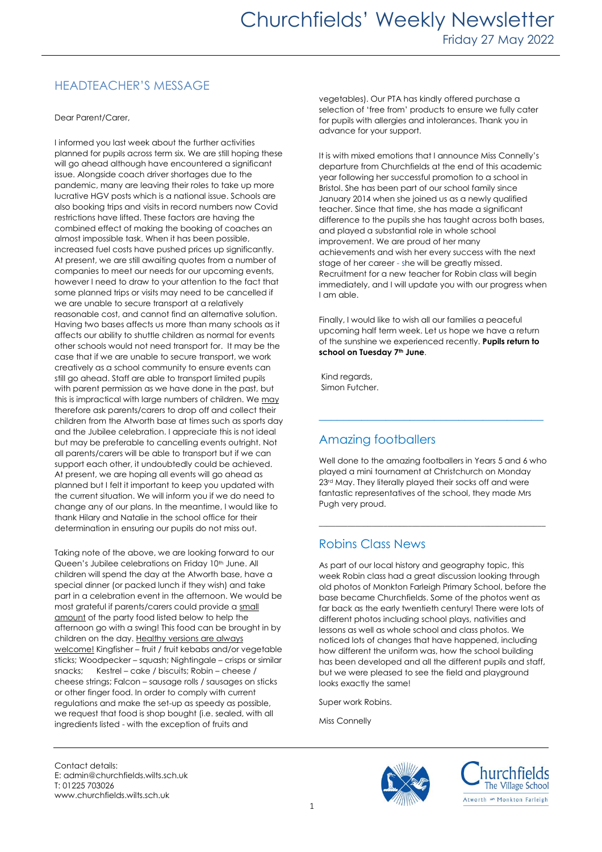## HEADTEACHER'S MESSAGE

Dear Parent/Carer,

I informed you last week about the further activities planned for pupils across term six. We are still hoping these will go ahead although have encountered a significant issue. Alongside coach driver shortages due to the pandemic, many are leaving their roles to take up more lucrative HGV posts which is a national issue. Schools are also booking trips and visits in record numbers now Covid restrictions have lifted. These factors are having the combined effect of making the booking of coaches an almost impossible task. When it has been possible, increased fuel costs have pushed prices up significantly. At present, we are still awaiting quotes from a number of companies to meet our needs for our upcoming events, however I need to draw to your attention to the fact that some planned trips or visits may need to be cancelled if we are unable to secure transport at a relatively reasonable cost, and cannot find an alternative solution. Having two bases affects us more than many schools as it affects our ability to shuttle children as normal for events other schools would not need transport for. It may be the case that if we are unable to secure transport, we work creatively as a school community to ensure events can still go ahead. Staff are able to transport limited pupils with parent permission as we have done in the past, but this is impractical with large numbers of children. We may therefore ask parents/carers to drop off and collect their children from the Atworth base at times such as sports day and the Jubilee celebration. I appreciate this is not ideal but may be preferable to cancelling events outright. Not all parents/carers will be able to transport but if we can support each other, it undoubtedly could be achieved. At present, we are hoping all events will go ahead as planned but I felt it important to keep you updated with the current situation. We will inform you if we do need to change any of our plans. In the meantime, I would like to thank Hilary and Natalie in the school office for their determination in ensuring our pupils do not miss out.

Taking note of the above, we are looking forward to our Queen's Jubilee celebrations on Friday 10<sup>th</sup> June. All children will spend the day at the Atworth base, have a special dinner (or packed lunch if they wish) and take part in a celebration event in the afternoon. We would be most grateful if parents/carers could provide a small amount of the party food listed below to help the afternoon go with a swing! This food can be brought in by children on the day. Healthy versions are always welcome! Kingfisher – fruit / fruit kebabs and/or vegetable sticks; Woodpecker – squash; Nightingale – crisps or similar snacks; Kestrel – cake / biscuits; Robin – cheese / cheese strings; Falcon – sausage rolls / sausages on sticks or other finger food. In order to comply with current regulations and make the set-up as speedy as possible, we request that food is shop bought (i.e. sealed, with all ingredients listed - with the exception of fruits and

vegetables). Our PTA has kindly offered purchase a selection of 'free from' products to ensure we fully cater for pupils with allergies and intolerances. Thank you in advance for your support.

It is with mixed emotions that I announce Miss Connelly's departure from Churchfields at the end of this academic year following her successful promotion to a school in Bristol. She has been part of our school family since January 2014 when she joined us as a newly qualified teacher. Since that time, she has made a significant difference to the pupils she has taught across both bases, and played a substantial role in whole school improvement. We are proud of her many achievements and wish her every success with the next stage of her career - she will be greatly missed. Recruitment for a new teacher for Robin class will begin immediately, and I will update you with our progress when I am able.

Finally, I would like to wish all our families a peaceful upcoming half term week. Let us hope we have a return of the sunshine we experienced recently. **Pupils return to school on Tuesday 7th June**.

Kind regards, Simon Futcher.

## Amazing footballers

Well done to the amazing footballers in Years 5 and 6 who played a mini tournament at Christchurch on Monday 23<sup>rd</sup> May. They literally played their socks off and were fantastic representatives of the school, they made Mrs Pugh very proud.

\_\_\_\_\_\_\_\_\_\_\_\_\_\_\_\_\_\_\_\_\_\_\_\_\_\_\_\_\_\_\_\_\_\_\_\_\_\_\_\_\_\_\_\_\_\_\_\_\_\_\_\_\_\_\_\_

\_\_\_\_\_\_\_\_\_\_\_\_\_\_\_\_\_\_\_\_\_\_\_\_\_\_\_\_\_\_\_\_\_\_\_\_\_

## Robins Class News

As part of our local history and geography topic, this week Robin class had a great discussion looking through old photos of Monkton Farleigh Primary School, before the base became Churchfields. Some of the photos went as far back as the early twentieth century! There were lots of different photos including school plays, nativities and lessons as well as whole school and class photos. We noticed lots of changes that have happened, including how different the uniform was, how the school building has been developed and all the different pupils and staff, but we were pleased to see the field and playground looks exactly the same!

Super work Robins.

Miss Connelly

Contact details: E: admin@churchfields.wilts.sch.uk T: 01225 703026 www.churchfields.wilts.sch.uk



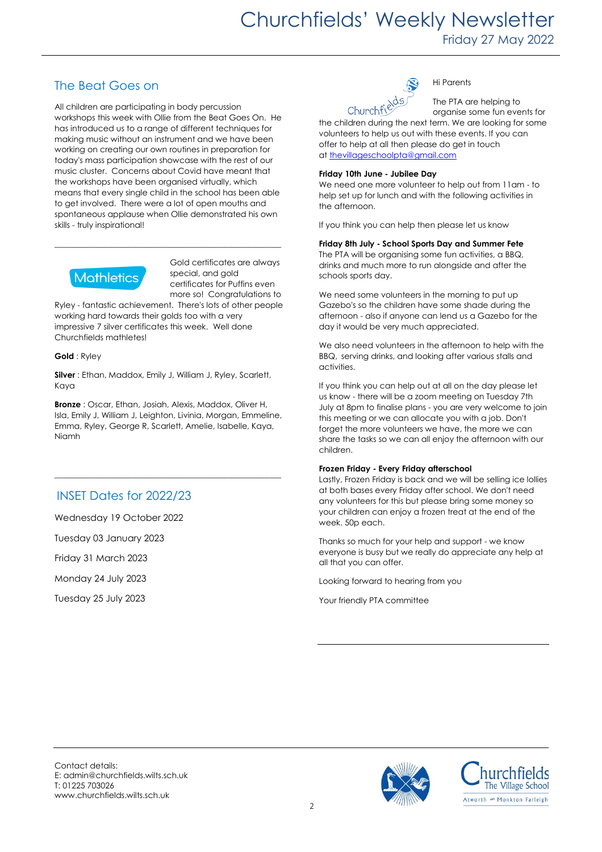## The Beat Goes on

All children are participating in body percussion workshops this week with Ollie from the Beat Goes On. He has introduced us to a range of different techniques for making music without an instrument and we have been working on creating our own routines in preparation for today's mass participation showcase with the rest of our music cluster. Concerns about Covid have meant that the workshops have been organised virtually, which means that every single child in the school has been able to get involved. There were a lot of open mouths and spontaneous applause when Ollie demonstrated his own skills - truly inspirational!

\_\_\_\_\_\_\_\_\_\_\_\_\_\_\_\_\_\_\_\_\_\_\_\_\_\_\_\_\_\_\_\_\_\_\_\_\_\_\_\_\_\_\_\_\_\_\_\_\_\_\_\_\_\_\_\_



Gold certificates are always special, and gold certificates for Puffins even more so! Congratulations to

Ryley - fantastic achievement. There's lots of other people working hard towards their golds too with a very impressive 7 silver certificates this week. Well done Churchfields mathletes!

#### **Gold** : Ryley

**Silver** : Ethan, Maddox, Emily J, William J, Ryley, Scarlett, Kaya

**Bronze** : Oscar, Ethan, Josiah, Alexis, Maddox, Oliver H, Isla, Emily J, William J, Leighton, Livinia, Morgan, Emmeline, Emma, Ryley, George R, Scarlett, Amelie, Isabelle, Kaya, Niamh

\_\_\_\_\_\_\_\_\_\_\_\_\_\_\_\_\_\_\_\_\_\_\_\_\_\_\_\_\_\_\_\_\_\_\_\_\_\_\_\_\_\_\_\_\_\_\_\_\_\_\_\_\_\_\_\_

## INSET Dates for 2022/23

Wednesday 19 October 2022

Tuesday 03 January 2023

Friday 31 March 2023

Monday 24 July 2023

Tuesday 25 July 2023



Hi Parents

The PTA are helping to organise some fun events for

the children during the next term. We are looking for some volunteers to help us out with these events. If you can offer to help at all then please do get in touch at [thevillageschoolpta@gmail.com](mailto:thevillageschoolpta@gmail.com)

#### **Friday 10th June - Jubilee Day**

Church

We need one more volunteer to help out from 11am - to help set up for lunch and with the following activities in the afternoon.

If you think you can help then please let us know

#### **Friday 8th July - School Sports Day and Summer Fete**

The PTA will be organising some fun activities, a BBQ, drinks and much more to run alongside and after the schools sports day.

We need some volunteers in the morning to put up Gazebo's so the children have some shade during the afternoon - also if anyone can lend us a Gazebo for the day it would be very much appreciated.

We also need volunteers in the afternoon to help with the BBQ, serving drinks, and looking after various stalls and activities.

If you think you can help out at all on the day please let us know - there will be a zoom meeting on Tuesday 7th July at 8pm to finalise plans - you are very welcome to join this meeting or we can allocate you with a job. Don't forget the more volunteers we have, the more we can share the tasks so we can all enjoy the afternoon with our children.

#### **Frozen Friday - Every Friday afterschool**

Lastly, Frozen Friday is back and we will be selling ice lollies at both bases every Friday after school. We don't need any volunteers for this but please bring some money so your children can enjoy a frozen treat at the end of the week. 50p each.

Thanks so much for your help and support - we know everyone is busy but we really do appreciate any help at all that you can offer.

Looking forward to hearing from you

Your friendly PTA committee



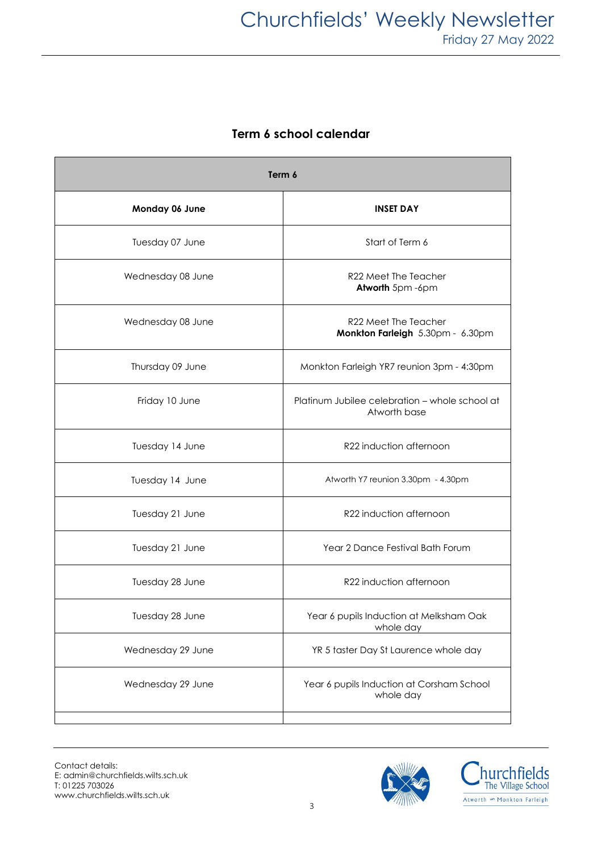## **Term 6 school calendar**

| Term 6            |                                                                |
|-------------------|----------------------------------------------------------------|
| Monday 06 June    | <b>INSET DAY</b>                                               |
| Tuesday 07 June   | Start of Term 6                                                |
| Wednesday 08 June | R22 Meet The Teacher<br>Atworth 5pm -6pm                       |
| Wednesday 08 June | R22 Meet The Teacher<br>Monkton Farleigh 5.30pm - 6.30pm       |
| Thursday 09 June  | Monkton Farleigh YR7 reunion 3pm - 4:30pm                      |
| Friday 10 June    | Platinum Jubilee celebration - whole school at<br>Atworth base |
| Tuesday 14 June   | R22 induction afternoon                                        |
| Tuesday 14 June   | Atworth Y7 reunion 3.30pm - 4.30pm                             |
| Tuesday 21 June   | R22 induction afternoon                                        |
| Tuesday 21 June   | Year 2 Dance Festival Bath Forum                               |
| Tuesday 28 June   | R22 induction afternoon                                        |
| Tuesday 28 June   | Year 6 pupils Induction at Melksham Oak<br>whole day           |
| Wednesday 29 June | YR 5 taster Day St Laurence whole day                          |
| Wednesday 29 June | Year 6 pupils Induction at Corsham School<br>whole day         |



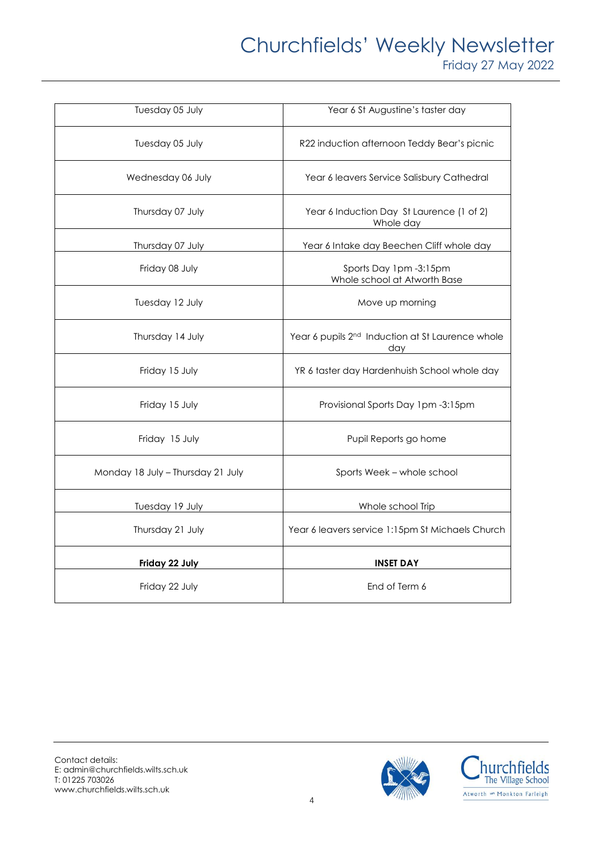# Churchfields' Weekly Newsletter Friday 27 May 2022

| Tuesday 05 July                   | Year 6 St Augustine's taster day                                    |
|-----------------------------------|---------------------------------------------------------------------|
| Tuesday 05 July                   | R22 induction afternoon Teddy Bear's picnic                         |
| Wednesday 06 July                 | Year 6 leavers Service Salisbury Cathedral                          |
| Thursday 07 July                  | Year 6 Induction Day St Laurence (1 of 2)<br>Whole day              |
| Thursday 07 July                  | Year 6 Intake day Beechen Cliff whole day                           |
| Friday 08 July                    | Sports Day 1pm -3:15pm<br>Whole school at Atworth Base              |
| Tuesday 12 July                   | Move up morning                                                     |
| Thursday 14 July                  | Year 6 pupils 2 <sup>nd</sup> Induction at St Laurence whole<br>day |
| Friday 15 July                    | YR 6 taster day Hardenhuish School whole day                        |
| Friday 15 July                    | Provisional Sports Day 1pm -3:15pm                                  |
| Friday 15 July                    | Pupil Reports go home                                               |
| Monday 18 July - Thursday 21 July | Sports Week - whole school                                          |
| Tuesday 19 July                   | Whole school Trip                                                   |
| Thursday 21 July                  | Year 6 leavers service 1:15pm St Michaels Church                    |
| Friday 22 July                    | <b>INSET DAY</b>                                                    |
| Friday 22 July                    | End of Term 6                                                       |